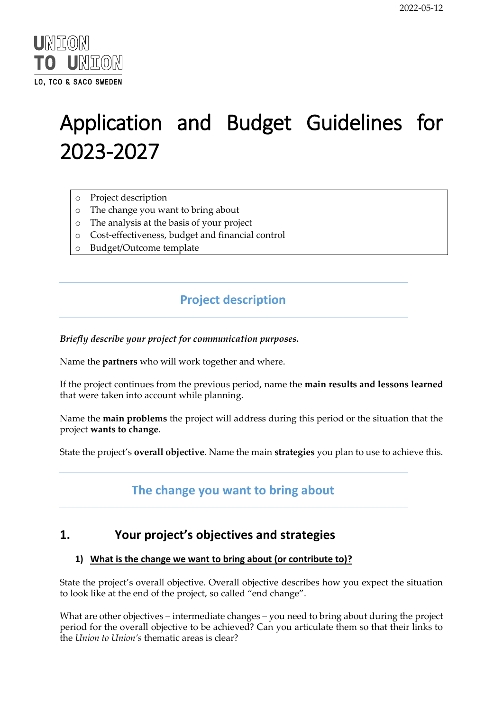

# Application and Budget Guidelines for 2023-2027

- o Project description
- o The change you want to bring about
- o The analysis at the basis of your project
- o Cost-effectiveness, budget and financial control
- o Budget/Outcome template

# **Project description**

*Briefly describe your project for communication purposes.* 

Name the **partners** who will work together and where.

If the project continues from the previous period, name the **main results and lessons learned** that were taken into account while planning.

Name the **main problems** the project will address during this period or the situation that the project **wants to change**.

State the project's **overall objective**. Name the main **strategies** you plan to use to achieve this.

# **The change you want to bring about**

# **1. Your project's objectives and strategies**

## **1) What is the change we want to bring about (or contribute to)?**

State the project's overall objective. Overall objective describes how you expect the situation to look like at the end of the project, so called "end change".

What are other objectives – intermediate changes – you need to bring about during the project period for the overall objective to be achieved? Can you articulate them so that their links to the *Union to Union's* thematic areas is clear?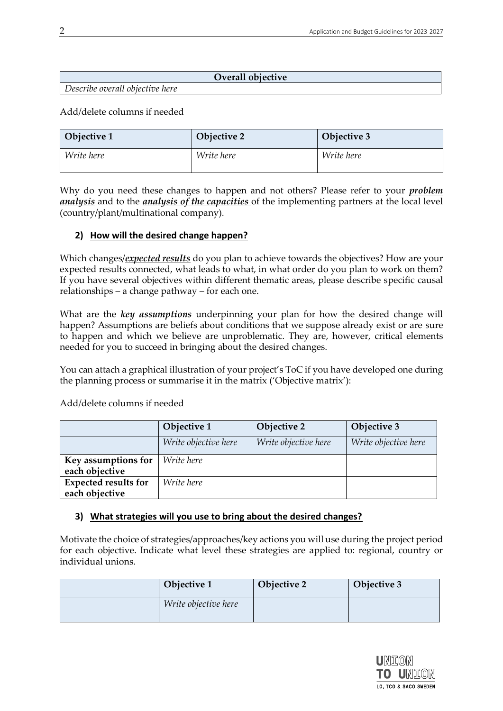#### **Overall objective**

## *Describe overall objective here*

Add/delete columns if needed

| Objective 1       | Objective 2 | Objective 3 |
|-------------------|-------------|-------------|
| <i>Write here</i> | Write here  | Write here  |

Why do you need these changes to happen and not others? Please refer to your *problem analysis* and to the *analysis of the capacities* of the implementing partners at the local level (country/plant/multinational company).

## **2) How will the desired change happen?**

Which changes/*expected results* do you plan to achieve towards the objectives? How are your expected results connected, what leads to what, in what order do you plan to work on them? If you have several objectives within different thematic areas, please describe specific causal relationships – a change pathway – for each one.

What are the *key assumptions* underpinning your plan for how the desired change will happen? Assumptions are beliefs about conditions that we suppose already exist or are sure to happen and which we believe are unproblematic. They are, however, critical elements needed for you to succeed in bringing about the desired changes.

You can attach a graphical illustration of your project's ToC if you have developed one during the planning process or summarise it in the matrix ('Objective matrix'):

**Objective 1 Objective 2 Objective 3** *Write objective here Write objective here Write objective here* **Key assumptions for each objective** *Write here* **Expected results for each objective**  *Write here*

Add/delete columns if needed

#### **3) What strategies will you use to bring about the desired changes?**

Motivate the choice of strategies/approaches/key actions you will use during the project period for each objective. Indicate what level these strategies are applied to: regional, country or individual unions.

| Objective 1          | Objective 2 | Objective 3 |
|----------------------|-------------|-------------|
| Write objective here |             |             |

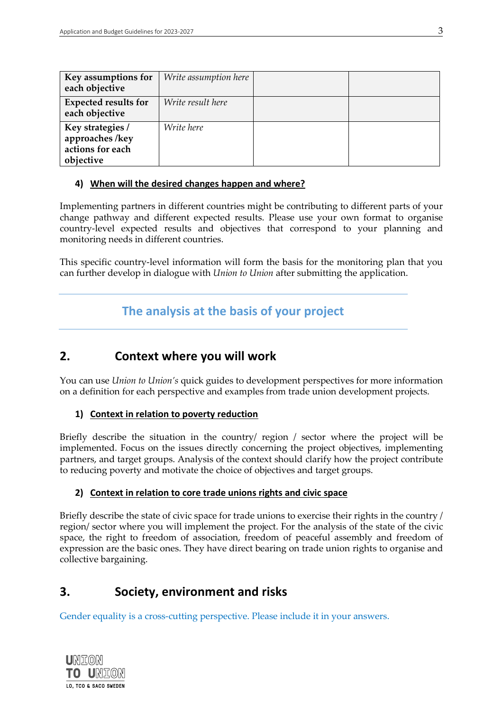| Key assumptions for<br>each objective                               | Write assumption here |  |
|---------------------------------------------------------------------|-----------------------|--|
| <b>Expected results for</b><br>each objective                       | Write result here     |  |
| Key strategies /<br>approaches/key<br>actions for each<br>objective | Write here            |  |

## **4) When will the desired changes happen and where?**

Implementing partners in different countries might be contributing to different parts of your change pathway and different expected results. Please use your own format to organise country-level expected results and objectives that correspond to your planning and monitoring needs in different countries.

This specific country-level information will form the basis for the monitoring plan that you can further develop in dialogue with *Union to Union* after submitting the application.

# **The analysis at the basis of your project**

# **2. Context where you will work**

You can use *Union to Union's* quick guides to development perspectives for more information on a definition for each perspective and examples from trade union development projects.

## **1) Context in relation to poverty reduction**

Briefly describe the situation in the country/ region / sector where the project will be implemented. Focus on the issues directly concerning the project objectives, implementing partners, and target groups. Analysis of the context should clarify how the project contribute to reducing poverty and motivate the choice of objectives and target groups.

## **2) Context in relation to core trade unions rights and civic space**

Briefly describe the state of civic space for trade unions to exercise their rights in the country / region/ sector where you will implement the project. For the analysis of the state of the civic space, the right to freedom of association, freedom of peaceful assembly and freedom of expression are the basic ones. They have direct bearing on trade union rights to organise and collective bargaining.

# **3. Society, environment and risks**

Gender equality is a cross-cutting perspective. Please include it in your answers.

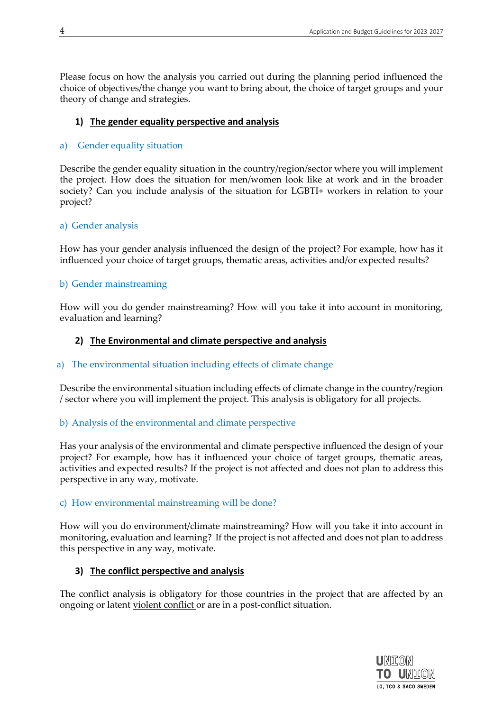Please focus on how the analysis you carried out during the planning period influenced the choice of objectives/the change you want to bring about, the choice of target groups and your theory of change and strategies.

## **1) The gender equality perspective and analysis**

#### a) Gender equality situation

Describe the gender equality situation in the country/region/sector where you will implement the project. How does the situation for men/women look like at work and in the broader society? Can you include analysis of the situation for LGBTI+ workers in relation to your project?

#### a) Gender analysis

How has your gender analysis influenced the design of the project? For example, how has it influenced your choice of target groups, thematic areas, activities and/or expected results?

## b) Gender mainstreaming

How will you do gender mainstreaming? How will you take it into account in monitoring, evaluation and learning?

#### **2) The Environmental and climate perspective and analysis**

#### a) The environmental situation including effects of climate change

Describe the environmental situation including effects of climate change in the country/region / sector where you will implement the project. This analysis is obligatory for all projects.

#### b) Analysis of the environmental and climate perspective

Has your analysis of the environmental and climate perspective influenced the design of your project? For example, how has it influenced your choice of target groups, thematic areas, activities and expected results? If the project is not affected and does not plan to address this perspective in any way, motivate.

#### c) How environmental mainstreaming will be done?

How will you do environment/climate mainstreaming? How will you take it into account in monitoring, evaluation and learning? If the project is not affected and does not plan to address this perspective in any way, motivate.

#### **3) The conflict perspective and analysis**

The conflict analysis is obligatory for those countries in the project that are affected by an ongoing or latent violent conflict or are in a post-conflict situation.

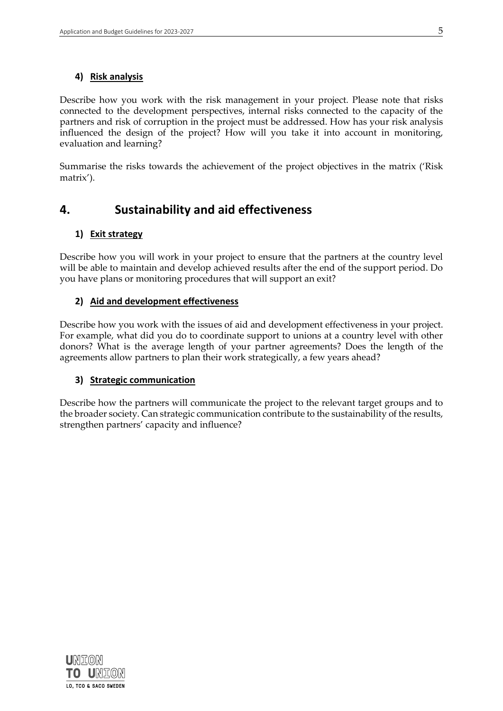#### **4) Risk analysis**

Describe how you work with the risk management in your project. Please note that risks connected to the development perspectives, internal risks connected to the capacity of the partners and risk of corruption in the project must be addressed. How has your risk analysis influenced the design of the project? How will you take it into account in monitoring, evaluation and learning?

Summarise the risks towards the achievement of the project objectives in the matrix ('Risk matrix').

## **4. Sustainability and aid effectiveness**

#### **1) Exit strategy**

Describe how you will work in your project to ensure that the partners at the country level will be able to maintain and develop achieved results after the end of the support period. Do you have plans or monitoring procedures that will support an exit?

#### **2) Aid and development effectiveness**

Describe how you work with the issues of aid and development effectiveness in your project. For example, what did you do to coordinate support to unions at a country level with other donors? What is the average length of your partner agreements? Does the length of the agreements allow partners to plan their work strategically, a few years ahead?

#### **3) Strategic communication**

Describe how the partners will communicate the project to the relevant target groups and to the broader society. Can strategic communication contribute to the sustainability of the results, strengthen partners' capacity and influence?

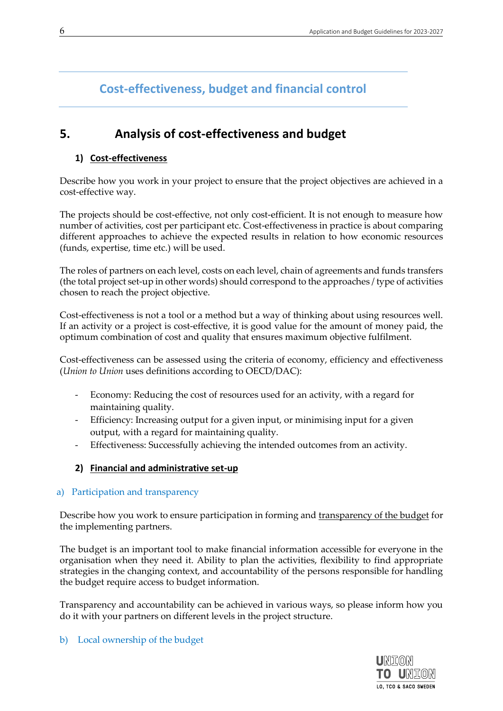# **Cost-effectiveness, budget and financial control**

# **5. Analysis of cost-effectiveness and budget**

## **1) Cost-effectiveness**

Describe how you work in your project to ensure that the project objectives are achieved in a cost-effective way.

The projects should be cost-effective, not only cost-efficient. It is not enough to measure how number of activities, cost per participant etc. Cost-effectiveness in practice is about comparing different approaches to achieve the expected results in relation to how economic resources (funds, expertise, time etc.) will be used.

The roles of partners on each level, costs on each level, chain of agreements and funds transfers (the total project set-up in other words) should correspond to the approaches / type of activities chosen to reach the project objective.

Cost-effectiveness is not a tool or a method but a way of thinking about using resources well. If an activity or a project is cost-effective, it is good value for the amount of money paid, the optimum combination of cost and quality that ensures maximum objective fulfilment.

Cost-effectiveness can be assessed using the criteria of economy, efficiency and effectiveness (*Union to Union* uses definitions according to OECD/DAC):

- Economy: Reducing the cost of resources used for an activity, with a regard for maintaining quality.
- Efficiency: Increasing output for a given input, or minimising input for a given output, with a regard for maintaining quality.
- Effectiveness: Successfully achieving the intended outcomes from an activity.

## **2) Financial and administrative set-up**

#### a) Participation and transparency

Describe how you work to ensure participation in forming and transparency of the budget for the implementing partners.

The budget is an important tool to make financial information accessible for everyone in the organisation when they need it. Ability to plan the activities, flexibility to find appropriate strategies in the changing context, and accountability of the persons responsible for handling the budget require access to budget information.

Transparency and accountability can be achieved in various ways, so please inform how you do it with your partners on different levels in the project structure.

b) Local ownership of the budget

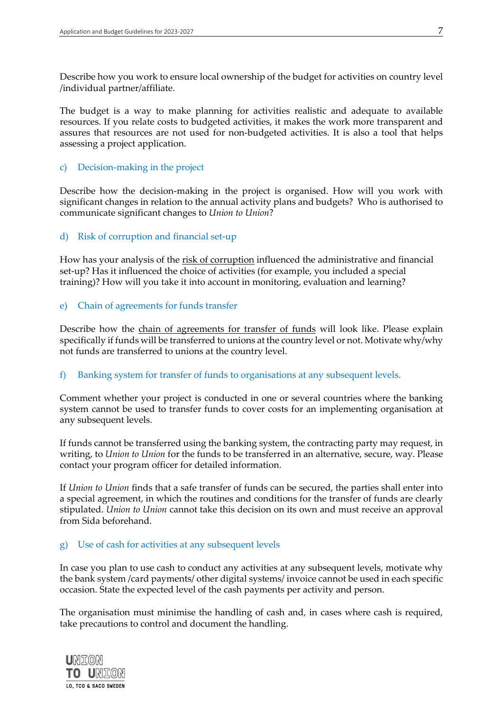Describe how you work to ensure local ownership of the budget for activities on country level /individual partner/affiliate.

The budget is a way to make planning for activities realistic and adequate to available resources. If you relate costs to budgeted activities, it makes the work more transparent and assures that resources are not used for non-budgeted activities. It is also a tool that helps assessing a project application.

#### c) Decision-making in the project

Describe how the decision-making in the project is organised. How will you work with significant changes in relation to the annual activity plans and budgets? Who is authorised to communicate significant changes to *Union to Union*?

#### d) Risk of corruption and financial set-up

How has your analysis of the risk of corruption influenced the administrative and financial set-up? Has it influenced the choice of activities (for example, you included a special training)? How will you take it into account in monitoring, evaluation and learning?

#### e) Chain of agreements for funds transfer

Describe how the chain of agreements for transfer of funds will look like. Please explain specifically if funds will be transferred to unions at the country level or not. Motivate why/why not funds are transferred to unions at the country level.

#### f) Banking system for transfer of funds to organisations at any subsequent levels.

Comment whether your project is conducted in one or several countries where the banking system cannot be used to transfer funds to cover costs for an implementing organisation at any subsequent levels.

If funds cannot be transferred using the banking system, the contracting party may request, in writing, to *Union to Union* for the funds to be transferred in an alternative, secure, way. Please contact your program officer for detailed information.

If *Union to Union* finds that a safe transfer of funds can be secured, the parties shall enter into a special agreement, in which the routines and conditions for the transfer of funds are clearly stipulated. *Union to Union* cannot take this decision on its own and must receive an approval from Sida beforehand.

#### g) Use of cash for activities at any subsequent levels

In case you plan to use cash to conduct any activities at any subsequent levels, motivate why the bank system /card payments/ other digital systems/ invoice cannot be used in each specific occasion. State the expected level of the cash payments per activity and person.

The organisation must minimise the handling of cash and, in cases where cash is required, take precautions to control and document the handling.

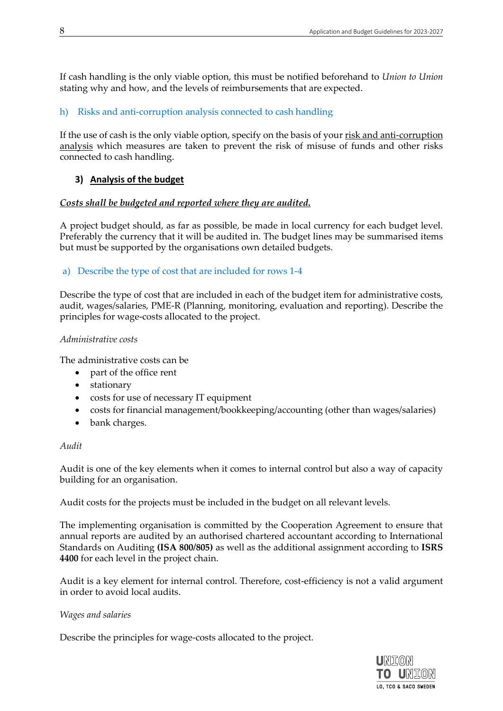If cash handling is the only viable option, this must be notified beforehand to *Union to Union* stating why and how, and the levels of reimbursements that are expected.

#### h) Risks and anti-corruption analysis connected to cash handling

If the use of cash is the only viable option, specify on the basis of your risk and anti-corruption analysis which measures are taken to prevent the risk of misuse of funds and other risks connected to cash handling.

## **3) Analysis of the budget**

#### *Costs shall be budgeted and reported where they are audited.*

A project budget should, as far as possible, be made in local currency for each budget level. Preferably the currency that it will be audited in. The budget lines may be summarised items but must be supported by the organisations own detailed budgets.

#### a) Describe the type of cost that are included for rows 1-4

Describe the type of cost that are included in each of the budget item for administrative costs, audit, wages/salaries, PME-R (Planning, monitoring, evaluation and reporting). Describe the principles for wage-costs allocated to the project.

#### *Administrative costs*

The administrative costs can be

- part of the office rent
- stationary
- costs for use of necessary IT equipment
- costs for financial management/bookkeeping/accounting (other than wages/salaries)
- bank charges.

#### *Audit*

Audit is one of the key elements when it comes to internal control but also a way of capacity building for an organisation.

Audit costs for the projects must be included in the budget on all relevant levels.

The implementing organisation is committed by the Cooperation Agreement to ensure that annual reports are audited by an authorised chartered accountant according to International Standards on Auditing **(ISA 800/805)** as well as the additional assignment according to **ISRS 4400** for each level in the project chain.

Audit is a key element for internal control. Therefore, cost-efficiency is not a valid argument in order to avoid local audits.

#### *Wages and salaries*

Describe the principles for wage-costs allocated to the project.

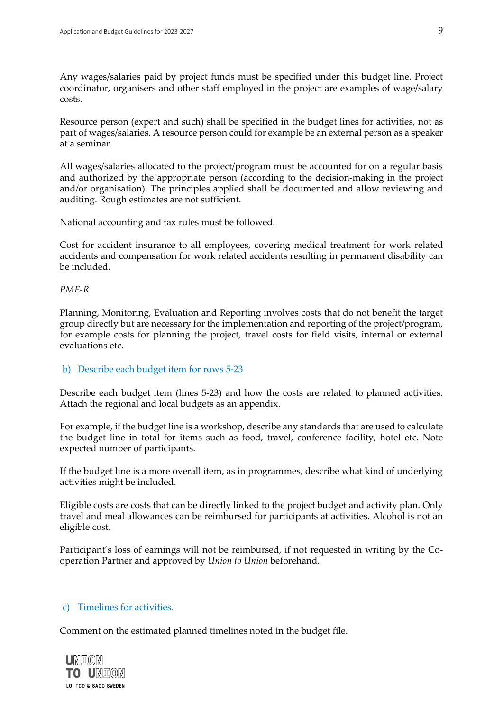Any wages/salaries paid by project funds must be specified under this budget line. Project coordinator, organisers and other staff employed in the project are examples of wage/salary costs.

Resource person (expert and such) shall be specified in the budget lines for activities, not as part of wages/salaries. A resource person could for example be an external person as a speaker at a seminar.

All wages/salaries allocated to the project/program must be accounted for on a regular basis and authorized by the appropriate person (according to the decision-making in the project and/or organisation). The principles applied shall be documented and allow reviewing and auditing. Rough estimates are not sufficient.

National accounting and tax rules must be followed.

Cost for accident insurance to all employees, covering medical treatment for work related accidents and compensation for work related accidents resulting in permanent disability can be included.

#### *PME-R*

Planning, Monitoring, Evaluation and Reporting involves costs that do not benefit the target group directly but are necessary for the implementation and reporting of the project/program, for example costs for planning the project, travel costs for field visits, internal or external evaluations etc.

#### b) Describe each budget item for rows 5-23

Describe each budget item (lines 5-23) and how the costs are related to planned activities. Attach the regional and local budgets as an appendix.

For example, if the budget line is a workshop, describe any standards that are used to calculate the budget line in total for items such as food, travel, conference facility, hotel etc. Note expected number of participants.

If the budget line is a more overall item, as in programmes, describe what kind of underlying activities might be included.

Eligible costs are costs that can be directly linked to the project budget and activity plan. Only travel and meal allowances can be reimbursed for participants at activities. Alcohol is not an eligible cost.

Participant's loss of earnings will not be reimbursed, if not requested in writing by the Cooperation Partner and approved by *Union to Union* beforehand.

#### c) Timelines for activities.

Comment on the estimated planned timelines noted in the budget file.

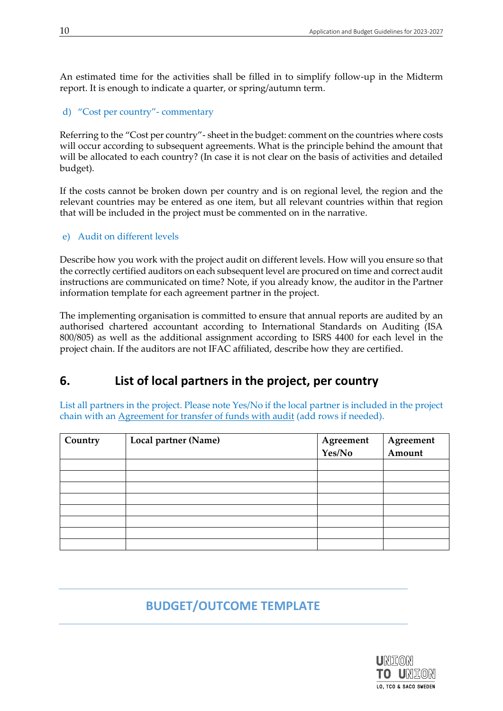An estimated time for the activities shall be filled in to simplify follow-up in the Midterm report. It is enough to indicate a quarter, or spring/autumn term.

#### d) "Cost per country"- commentary

Referring to the "Cost per country"- sheet in the budget: comment on the countries where costs will occur according to subsequent agreements. What is the principle behind the amount that will be allocated to each country? (In case it is not clear on the basis of activities and detailed budget).

If the costs cannot be broken down per country and is on regional level, the region and the relevant countries may be entered as one item, but all relevant countries within that region that will be included in the project must be commented on in the narrative.

#### e) Audit on different levels

Describe how you work with the project audit on different levels. How will you ensure so that the correctly certified auditors on each subsequent level are procured on time and correct audit instructions are communicated on time? Note, if you already know, the auditor in the Partner information template for each agreement partner in the project.

The implementing organisation is committed to ensure that annual reports are audited by an authorised chartered accountant according to International Standards on Auditing (ISA 800/805) as well as the additional assignment according to ISRS 4400 for each level in the project chain. If the auditors are not IFAC affiliated, describe how they are certified.

# **6. List of local partners in the project, per country**

List all partners in the project. Please note Yes/No if the local partner is included in the project chain with an Agreement for transfer of funds with audit (add rows if needed).

| Country | Local partner (Name) | Agreement<br>Yes/No | Agreement<br>Amount |
|---------|----------------------|---------------------|---------------------|
|         |                      |                     |                     |
|         |                      |                     |                     |
|         |                      |                     |                     |
|         |                      |                     |                     |
|         |                      |                     |                     |
|         |                      |                     |                     |
|         |                      |                     |                     |
|         |                      |                     |                     |

# **BUDGET/OUTCOME TEMPLATE**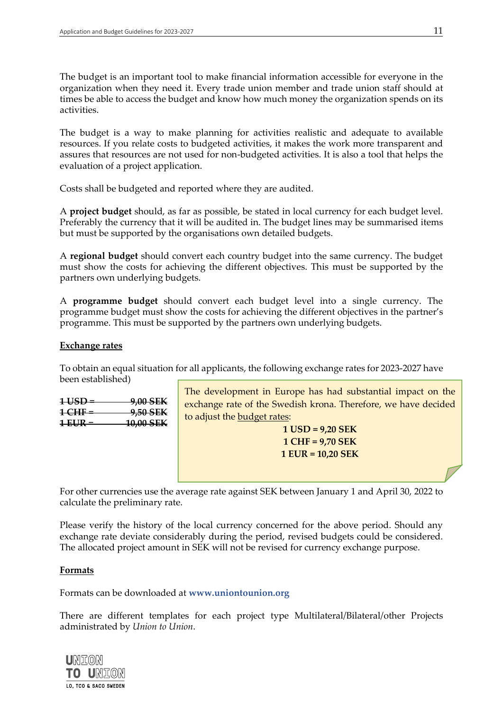The budget is an important tool to make financial information accessible for everyone in the organization when they need it. Every trade union member and trade union staff should at times be able to access the budget and know how much money the organization spends on its activities.

The budget is a way to make planning for activities realistic and adequate to available resources. If you relate costs to budgeted activities, it makes the work more transparent and assures that resources are not used for non-budgeted activities. It is also a tool that helps the evaluation of a project application.

Costs shall be budgeted and reported where they are audited.

A **project budget** should, as far as possible, be stated in local currency for each budget level. Preferably the currency that it will be audited in. The budget lines may be summarised items but must be supported by the organisations own detailed budgets.

A **regional budget** should convert each country budget into the same currency. The budget must show the costs for achieving the different objectives. This must be supported by the partners own underlying budgets.

A **programme budget** should convert each budget level into a single currency. The programme budget must show the costs for achieving the different objectives in the partner's programme. This must be supported by the partners own underlying budgets.

#### **Exchange rates**

To obtain an equal situation for all applicants, the following exchange rates for 2023-2027 have been established)

| $1$ USD = | 9,00 SEK  |
|-----------|-----------|
| $1$ CHF = | 9,50 SEK  |
| $1$ EUR = | 10,00 SEK |

The development in Europe has had substantial impact on the exchange rate of the Swedish krona. Therefore, we have decided to adjust the budget rates:

> **1 USD = 9,20 SEK 1 CHF = 9,70 SEK 1 EUR = 10,20 SEK**

For other currencies use the average rate against SEK between January 1 and April 30, 2022 to calculate the preliminary rate.

Please verify the history of the local currency concerned for the above period. Should any exchange rate deviate considerably during the period, revised budgets could be considered. The allocated project amount in SEK will not be revised for currency exchange purpose.

#### **Formats**

Formats can be downloaded at **[www.uniontounion.org](http://www.uniontounion.org/)**

There are different templates for each project type Multilateral/Bilateral/other Projects administrated by *Union to Union*.

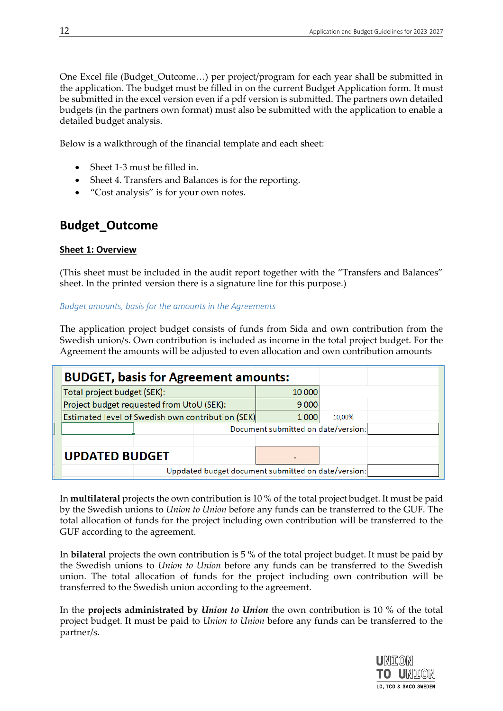One Excel file (Budget\_Outcome…) per project/program for each year shall be submitted in the application. The budget must be filled in on the current Budget Application form. It must be submitted in the excel version even if a pdf version is submitted. The partners own detailed budgets (in the partners own format) must also be submitted with the application to enable a detailed budget analysis.

Below is a walkthrough of the financial template and each sheet:

- Sheet 1-3 must be filled in.
- Sheet 4. Transfers and Balances is for the reporting.
- "Cost analysis" is for your own notes.

# **Budget\_Outcome**

#### **Sheet 1: Overview**

(This sheet must be included in the audit report together with the "Transfers and Balances" sheet. In the printed version there is a signature line for this purpose.)

#### *Budget amounts, basis for the amounts in the Agreements*

The application project budget consists of funds from Sida and own contribution from the Swedish union/s. Own contribution is included as income in the total project budget. For the Agreement the amounts will be adjusted to even allocation and own contribution amounts

| <b>BUDGET, basis for Agreement amounts:</b>                  |                                     |         |        |  |  |
|--------------------------------------------------------------|-------------------------------------|---------|--------|--|--|
| Total project budget (SEK):                                  |                                     | 10 000  |        |  |  |
| Project budget requested from UtoU (SEK):                    |                                     | 9 0 0 0 |        |  |  |
| Estimated level of Swedish own contribution (SEK)<br>1 0 0 0 |                                     |         | 10,00% |  |  |
|                                                              | Document submitted on date/version: |         |        |  |  |
|                                                              |                                     |         |        |  |  |
| <b>UPDATED BUDGET</b>                                        |                                     |         |        |  |  |
| Uppdated budget document submitted on date/version:          |                                     |         |        |  |  |

In **multilateral** projects the own contribution is 10 % of the total project budget. It must be paid by the Swedish unions to *Union to Union* before any funds can be transferred to the GUF. The total allocation of funds for the project including own contribution will be transferred to the GUF according to the agreement.

In **bilateral** projects the own contribution is 5 % of the total project budget. It must be paid by the Swedish unions to *Union to Union* before any funds can be transferred to the Swedish union. The total allocation of funds for the project including own contribution will be transferred to the Swedish union according to the agreement.

In the **projects administrated by** *Union to Union* the own contribution is 10 % of the total project budget. It must be paid to *Union to Union* before any funds can be transferred to the partner/s.

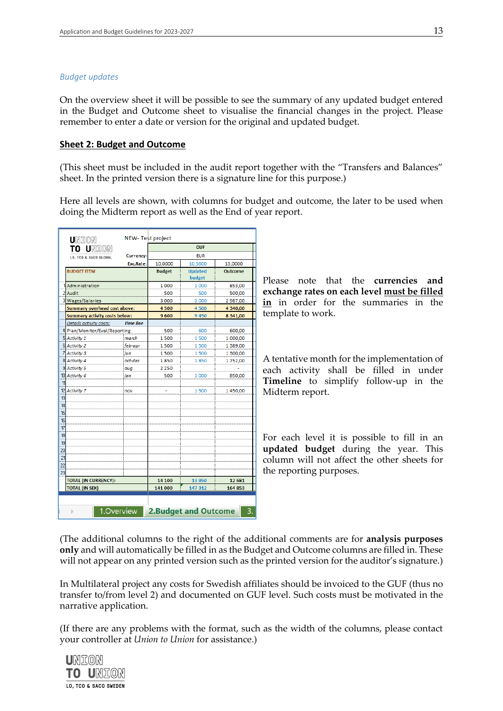#### *Budget updates*

On the overview sheet it will be possible to see the summary of any updated budget entered in the Budget and Outcome sheet to visualise the financial changes in the project. Please remember to enter a date or version for the original and updated budget.

#### **Sheet 2: Budget and Outcome**

(This sheet must be included in the audit report together with the "Transfers and Balances" sheet. In the printed version there is a signature line for this purpose.)

Here all levels are shown, with columns for budget and outcome, the later to be used when doing the Midterm report as well as the End of year report.

|                       | <b>NEW-Test project</b><br><b>U</b> NION             |                  |               |                          |                |
|-----------------------|------------------------------------------------------|------------------|---------------|--------------------------|----------------|
|                       | TO UNION                                             |                  |               | <b>GUF</b>               |                |
|                       | LO, TCO & SACO GLOBAL                                | <b>Currency:</b> |               | <b>FUR</b>               |                |
|                       |                                                      | Exc.Rate:        | 10,0000       | 10,5600                  | 13,0000        |
|                       | <b>BUDGET ITEM</b>                                   |                  | <b>Budget</b> | <b>Updated</b><br>budget | <b>Outcome</b> |
|                       | Administration                                       |                  | 1000          | 1000                     | 853,00         |
| $\overline{c}$        | Audit                                                |                  | 500           | 500                      | 500,00         |
| 31                    | Wages/Salaries                                       |                  | 3 000         | 3 000                    | 2987,00        |
|                       | Summary overhead cost above:                         |                  | 4500          | 4500                     | 4 340,00       |
|                       | <b>Summary activity costs below:</b>                 |                  | 9600          | 9450                     | 8 341,00       |
|                       | Details activity costs:                              | <b>Time line</b> |               |                          |                |
|                       | 4 Plan/Monitor/Eval/Reporting                        |                  | 500           | 600                      | 600,00         |
| 5                     | Activity 1                                           | march            | 1500          | 1500                     | 1 000,00       |
|                       | <b>6</b> Activity 2                                  | feb-apr          | 1500          | 1500                     | 1389,00        |
| 7                     | Activity 3                                           | jun              | 1500          | 1500                     | 1 300,00       |
| 8                     | Activity 4                                           | oct-dec          | 1 850         | 1850                     | 1 752,00       |
| 9                     | <b>Activity 5</b>                                    | aug              | 2 250         |                          |                |
| 10                    | Activity 6                                           | ian              | 500           | 1 000                    | 850,00         |
| 11                    |                                                      |                  |               |                          |                |
| 12                    | <b>Activity 7</b>                                    | nov              |               | 1 500                    | 1450,00        |
| 13                    |                                                      |                  |               |                          |                |
| 14                    |                                                      |                  |               |                          |                |
| 15                    |                                                      |                  |               |                          |                |
| 16                    |                                                      |                  |               |                          |                |
| 17                    |                                                      |                  |               |                          |                |
| 18                    |                                                      |                  |               |                          |                |
| 19                    |                                                      |                  |               |                          |                |
| 20                    |                                                      |                  |               |                          |                |
| 21                    |                                                      |                  |               |                          |                |
| 22                    |                                                      |                  |               |                          |                |
| 23                    |                                                      |                  |               |                          |                |
|                       | <b>TOTAL (IN CURRENCY):</b>                          |                  | 14 100        | 13 950                   | 12 681         |
| <b>TOTAL (IN SEK)</b> |                                                      |                  | 141 000       | 147 312                  | 164 853        |
|                       |                                                      |                  |               |                          |                |
|                       |                                                      |                  |               |                          |                |
|                       | 1.Overview<br>3.<br><b>2.Budget and Outcome</b><br>ь |                  |               |                          |                |

Please note that the **currencies and exchange rates on each level must be filled in** in order for the summaries in the template to work.

A tentative month for the implementation of each activity shall be filled in under **Timeline** to simplify follow-up in the Midterm report.

For each level it is possible to fill in an **updated budget** during the year. This column will not affect the other sheets for the reporting purposes.

(The additional columns to the right of the additional comments are for **analysis purposes only** and will automatically be filled in as the Budget and Outcome columns are filled in. These will not appear on any printed version such as the printed version for the auditor's signature.)

In Multilateral project any costs for Swedish affiliates should be invoiced to the GUF (thus no transfer to/from level 2) and documented on GUF level. Such costs must be motivated in the narrative application.

(If there are any problems with the format, such as the width of the columns, please contact your controller at *Union to Union* for assistance.)

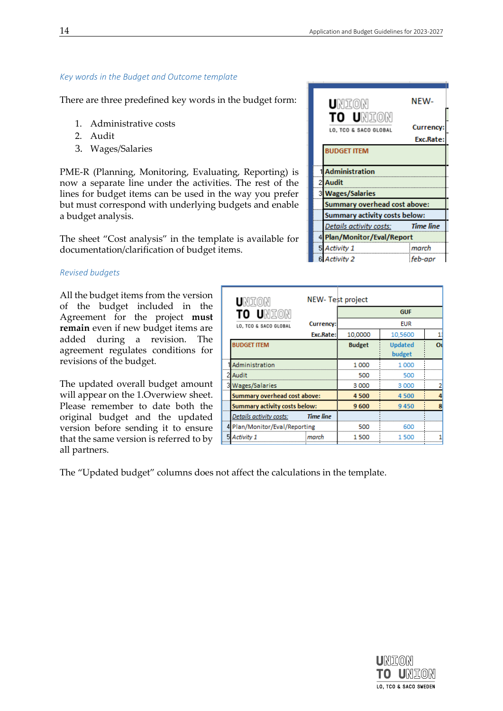#### *Key words in the Budget and Outcome template*

There are three predefined key words in the budget form:

- 1. Administrative costs
- 2. Audit
- 3. Wages/Salaries

PME-R (Planning, Monitoring, Evaluating, Reporting) is now a separate line under the activities. The rest of the lines for budget items can be used in the way you prefer but must correspond with underlying budgets and enable a budget analysis.

The sheet "Cost analysis" in the template is available for documentation/clarification of budget items.

#### *Revised budgets*

All the budget items from the version of the budget included in the Agreement for the project **must remain** even if new budget items are added during a revision. The agreement regulates conditions for revisions of the budget.

The updated overall budget amount will appear on the 1.Overwiew sheet. Please remember to date both the original budget and the updated version before sending it to ensure that the same version is referred to by all partners.

|   | union                         | NEW- Test project |               |                          |    |
|---|-------------------------------|-------------------|---------------|--------------------------|----|
|   | TO UNION                      |                   | <b>GUF</b>    |                          |    |
|   | LO, TCO & SACO GLOBAL         | <b>Currency:</b>  |               | <b>EUR</b>               |    |
|   |                               | Exc.Rate:         | 10,0000       | 10,5600                  |    |
|   | <b>BUDGET ITEM</b>            |                   | <b>Budget</b> | <b>Updated</b><br>budget | Οı |
|   | Administration                |                   | 1000          | 1000                     |    |
|   | Audit                         |                   | 500           | 500                      |    |
|   | 3 Wages/Salaries              |                   | 3000          | 3 0 0 0                  |    |
|   | Summary overhead cost above:  |                   | 4500          | 4500                     |    |
|   | Summary activity costs below: |                   | 9600          | 9450                     | 8  |
|   | Details activity costs:       | <b>Time line</b>  |               |                          |    |
|   | Plan/Monitor/Eval/Reporting   |                   | 500           | 600                      |    |
| 5 | Activity 1                    | march             | 1500          | 1 500                    |    |

The "Updated budget" columns does not affect the calculations in the template.